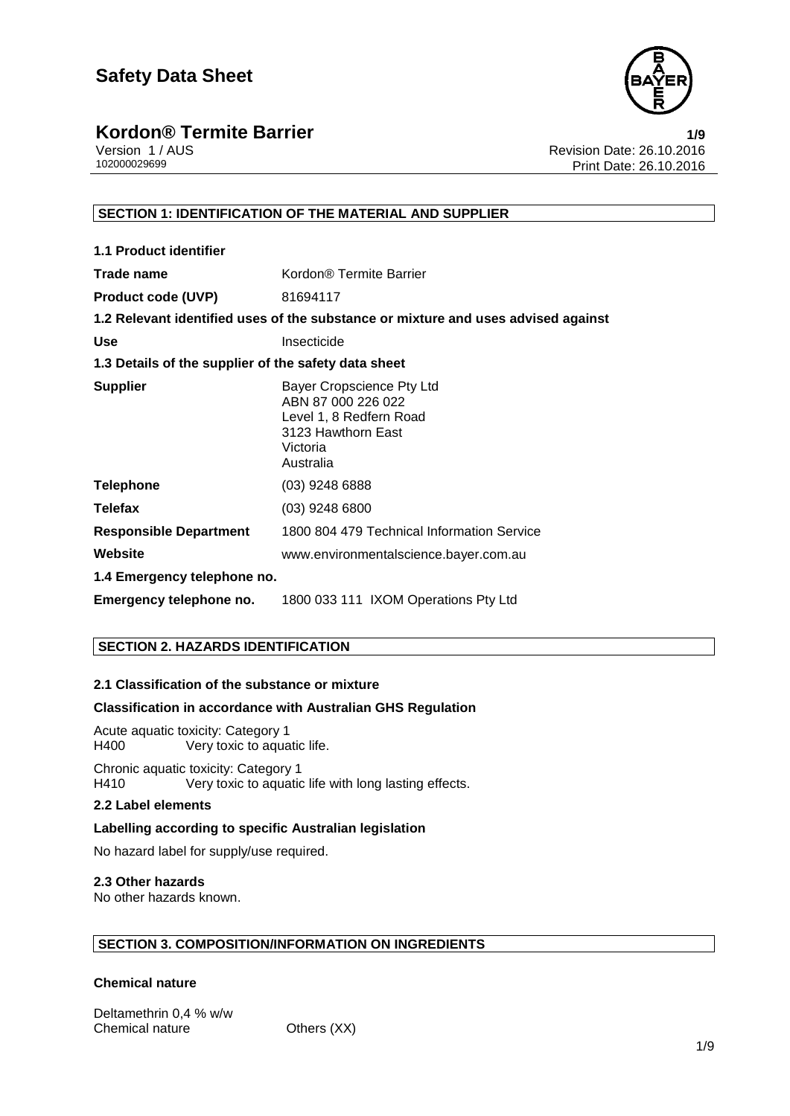

Version 1 / AUS Revision Date: 26.10.2016 Print Date: 26.10.2016

### **SECTION 1: IDENTIFICATION OF THE MATERIAL AND SUPPLIER**

| 1.1 Product identifier                               |                                                                                                                           |
|------------------------------------------------------|---------------------------------------------------------------------------------------------------------------------------|
| Trade name                                           | Kordon <sup>®</sup> Termite Barrier                                                                                       |
| <b>Product code (UVP)</b>                            | 81694117                                                                                                                  |
|                                                      | 1.2 Relevant identified uses of the substance or mixture and uses advised against                                         |
| <b>Use</b>                                           | Insecticide                                                                                                               |
| 1.3 Details of the supplier of the safety data sheet |                                                                                                                           |
| <b>Supplier</b>                                      | Bayer Cropscience Pty Ltd<br>ABN 87 000 226 022<br>Level 1, 8 Redfern Road<br>3123 Hawthorn East<br>Victoria<br>Australia |
| <b>Telephone</b>                                     | (03) 9248 6888                                                                                                            |
| <b>Telefax</b>                                       | $(03)$ 9248 6800                                                                                                          |
| <b>Responsible Department</b>                        | 1800 804 479 Technical Information Service                                                                                |
| Website                                              | www.environmentalscience.bayer.com.au                                                                                     |
| 1.4 Emergency telephone no.                          |                                                                                                                           |
| Emergency telephone no.                              | 1800 033 111 IXOM Operations Pty Ltd                                                                                      |

### **SECTION 2. HAZARDS IDENTIFICATION**

### **2.1 Classification of the substance or mixture**

### **Classification in accordance with Australian GHS Regulation**

Acute aquatic toxicity: Category 1 Very toxic to aquatic life.

Chronic aquatic toxicity: Category 1<br>H410 Very toxic to aquatic Very toxic to aquatic life with long lasting effects.

### **2.2 Label elements**

### **Labelling according to specific Australian legislation**

No hazard label for supply/use required.

### **2.3 Other hazards**

No other hazards known.

### **SECTION 3. COMPOSITION/INFORMATION ON INGREDIENTS**

### **Chemical nature**

Deltamethrin 0,4 % w/w Chemical nature **Others (XX)**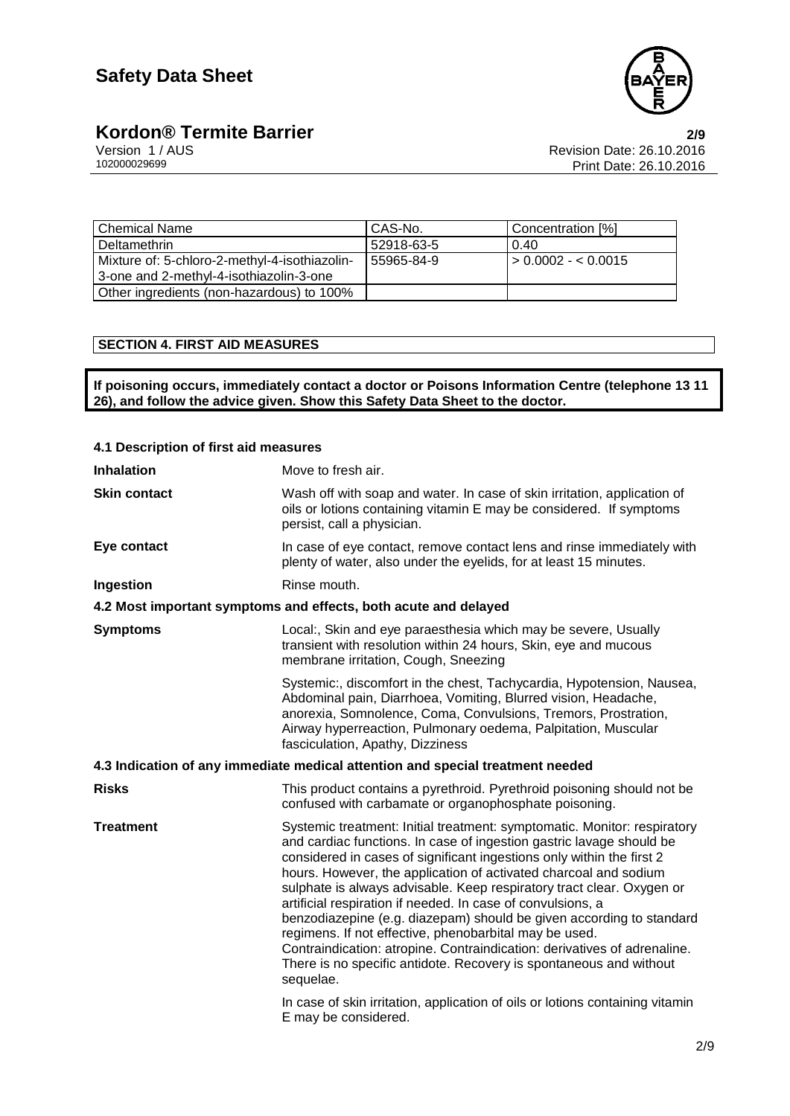

**Kordon® Termite Barrier**<br>
Version 1/AUS<br>
102000029699<br>
Print Date: 26.10.2016<br>
Print Date: 26.10.2016 Revision Date: 26.10.2016 Print Date: 26.10.2016

| l Chemical Name                               | CAS-No.    | Concentration [%]           |
|-----------------------------------------------|------------|-----------------------------|
| l Deltamethrin                                | 52918-63-5 | 0.40                        |
| Mixture of: 5-chloro-2-methyl-4-isothiazolin- | 55965-84-9 | $\vert$ > 0.0002 - < 0.0015 |
| 3-one and 2-methyl-4-isothiazolin-3-one       |            |                             |
| Other ingredients (non-hazardous) to 100%     |            |                             |

### **SECTION 4. FIRST AID MEASURES**

**If poisoning occurs, immediately contact a doctor or Poisons Information Centre (telephone 13 11 26), and follow the advice given. Show this Safety Data Sheet to the doctor.**

| 4.1 Description of first aid measures |                                                                                                                                                                                                                                                                                                                                                                                                                                                                                                                                                                                                                                                                                                                                        |  |
|---------------------------------------|----------------------------------------------------------------------------------------------------------------------------------------------------------------------------------------------------------------------------------------------------------------------------------------------------------------------------------------------------------------------------------------------------------------------------------------------------------------------------------------------------------------------------------------------------------------------------------------------------------------------------------------------------------------------------------------------------------------------------------------|--|
| <b>Inhalation</b>                     | Move to fresh air.                                                                                                                                                                                                                                                                                                                                                                                                                                                                                                                                                                                                                                                                                                                     |  |
| <b>Skin contact</b>                   | Wash off with soap and water. In case of skin irritation, application of<br>oils or lotions containing vitamin E may be considered. If symptoms<br>persist, call a physician.                                                                                                                                                                                                                                                                                                                                                                                                                                                                                                                                                          |  |
| Eye contact                           | In case of eye contact, remove contact lens and rinse immediately with<br>plenty of water, also under the eyelids, for at least 15 minutes.                                                                                                                                                                                                                                                                                                                                                                                                                                                                                                                                                                                            |  |
| Ingestion                             | Rinse mouth.                                                                                                                                                                                                                                                                                                                                                                                                                                                                                                                                                                                                                                                                                                                           |  |
|                                       | 4.2 Most important symptoms and effects, both acute and delayed                                                                                                                                                                                                                                                                                                                                                                                                                                                                                                                                                                                                                                                                        |  |
| <b>Symptoms</b>                       | Local:, Skin and eye paraesthesia which may be severe, Usually<br>transient with resolution within 24 hours, Skin, eye and mucous<br>membrane irritation, Cough, Sneezing                                                                                                                                                                                                                                                                                                                                                                                                                                                                                                                                                              |  |
|                                       | Systemic:, discomfort in the chest, Tachycardia, Hypotension, Nausea,<br>Abdominal pain, Diarrhoea, Vomiting, Blurred vision, Headache,<br>anorexia, Somnolence, Coma, Convulsions, Tremors, Prostration,<br>Airway hyperreaction, Pulmonary oedema, Palpitation, Muscular<br>fasciculation, Apathy, Dizziness                                                                                                                                                                                                                                                                                                                                                                                                                         |  |
|                                       | 4.3 Indication of any immediate medical attention and special treatment needed                                                                                                                                                                                                                                                                                                                                                                                                                                                                                                                                                                                                                                                         |  |
| <b>Risks</b>                          | This product contains a pyrethroid. Pyrethroid poisoning should not be<br>confused with carbamate or organophosphate poisoning.                                                                                                                                                                                                                                                                                                                                                                                                                                                                                                                                                                                                        |  |
| <b>Treatment</b>                      | Systemic treatment: Initial treatment: symptomatic. Monitor: respiratory<br>and cardiac functions. In case of ingestion gastric lavage should be<br>considered in cases of significant ingestions only within the first 2<br>hours. However, the application of activated charcoal and sodium<br>sulphate is always advisable. Keep respiratory tract clear. Oxygen or<br>artificial respiration if needed. In case of convulsions, a<br>benzodiazepine (e.g. diazepam) should be given according to standard<br>regimens. If not effective, phenobarbital may be used.<br>Contraindication: atropine. Contraindication: derivatives of adrenaline.<br>There is no specific antidote. Recovery is spontaneous and without<br>sequelae. |  |
|                                       | In case of skin irritation, application of oils or lotions containing vitamin<br>E may be considered.                                                                                                                                                                                                                                                                                                                                                                                                                                                                                                                                                                                                                                  |  |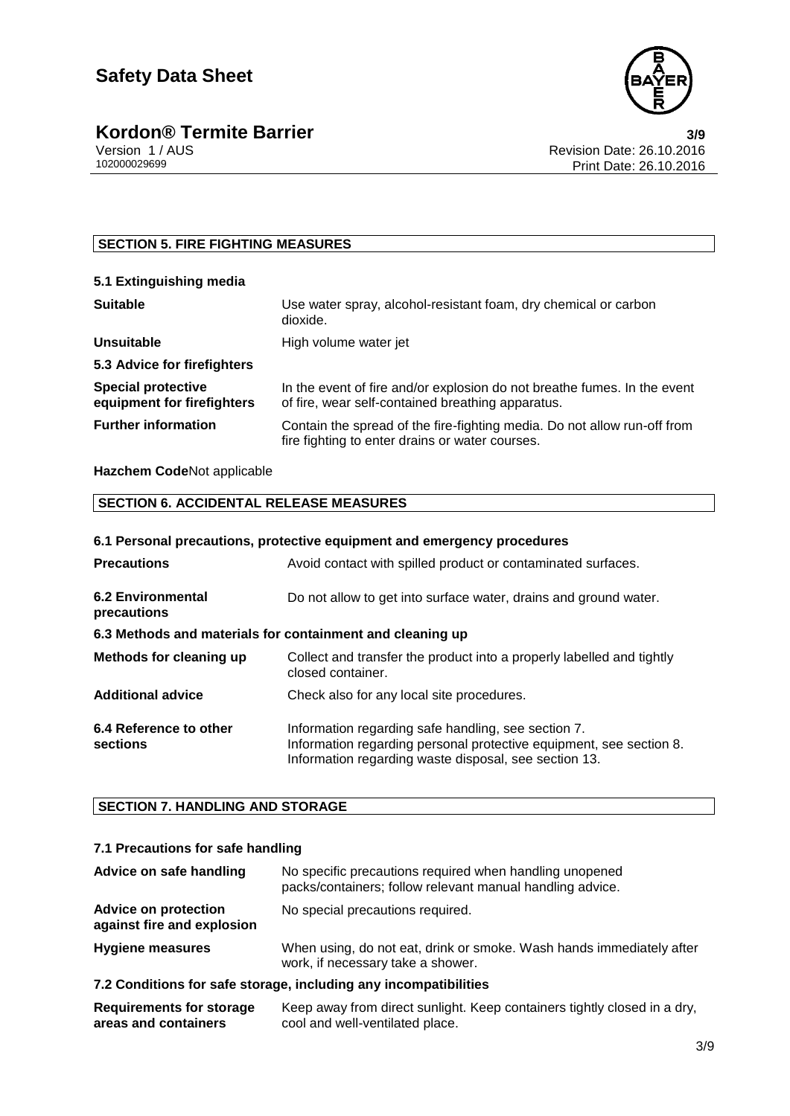

### **SECTION 5. FIRE FIGHTING MEASURES**

| 5.1 Extinguishing media                                 |                                                                                                                               |
|---------------------------------------------------------|-------------------------------------------------------------------------------------------------------------------------------|
| <b>Suitable</b>                                         | Use water spray, alcohol-resistant foam, dry chemical or carbon<br>dioxide.                                                   |
| <b>Unsuitable</b>                                       | High volume water jet                                                                                                         |
| 5.3 Advice for firefighters                             |                                                                                                                               |
| <b>Special protective</b><br>equipment for firefighters | In the event of fire and/or explosion do not breathe fumes. In the event<br>of fire, wear self-contained breathing apparatus. |
| <b>Further information</b>                              | Contain the spread of the fire-fighting media. Do not allow run-off from<br>fire fighting to enter drains or water courses.   |

### **Hazchem Code**Not applicable

### **SECTION 6. ACCIDENTAL RELEASE MEASURES**

| 6.1 Personal precautions, protective equipment and emergency procedures |                                                                                                                                                                                     |  |
|-------------------------------------------------------------------------|-------------------------------------------------------------------------------------------------------------------------------------------------------------------------------------|--|
| <b>Precautions</b>                                                      | Avoid contact with spilled product or contaminated surfaces.                                                                                                                        |  |
| 6.2 Environmental<br>precautions                                        | Do not allow to get into surface water, drains and ground water.                                                                                                                    |  |
| 6.3 Methods and materials for containment and cleaning up               |                                                                                                                                                                                     |  |
| Methods for cleaning up                                                 | Collect and transfer the product into a properly labelled and tightly<br>closed container.                                                                                          |  |
| <b>Additional advice</b>                                                | Check also for any local site procedures.                                                                                                                                           |  |
| 6.4 Reference to other<br>sections                                      | Information regarding safe handling, see section 7.<br>Information regarding personal protective equipment, see section 8.<br>Information regarding waste disposal, see section 13. |  |

### **SECTION 7. HANDLING AND STORAGE**

### **7.1 Precautions for safe handling**

| Advice on safe handling                                   | No specific precautions required when handling unopened<br>packs/containers; follow relevant manual handling advice. |
|-----------------------------------------------------------|----------------------------------------------------------------------------------------------------------------------|
| <b>Advice on protection</b><br>against fire and explosion | No special precautions required.                                                                                     |
| <b>Hygiene measures</b>                                   | When using, do not eat, drink or smoke. Wash hands immediately after<br>work, if necessary take a shower.            |

### **7.2 Conditions for safe storage, including any incompatibilities**

| <b>Requirements for storage</b> | Keep away from direct sunlight. Keep containers tightly closed in a dry, |
|---------------------------------|--------------------------------------------------------------------------|
| areas and containers            | cool and well-ventilated place.                                          |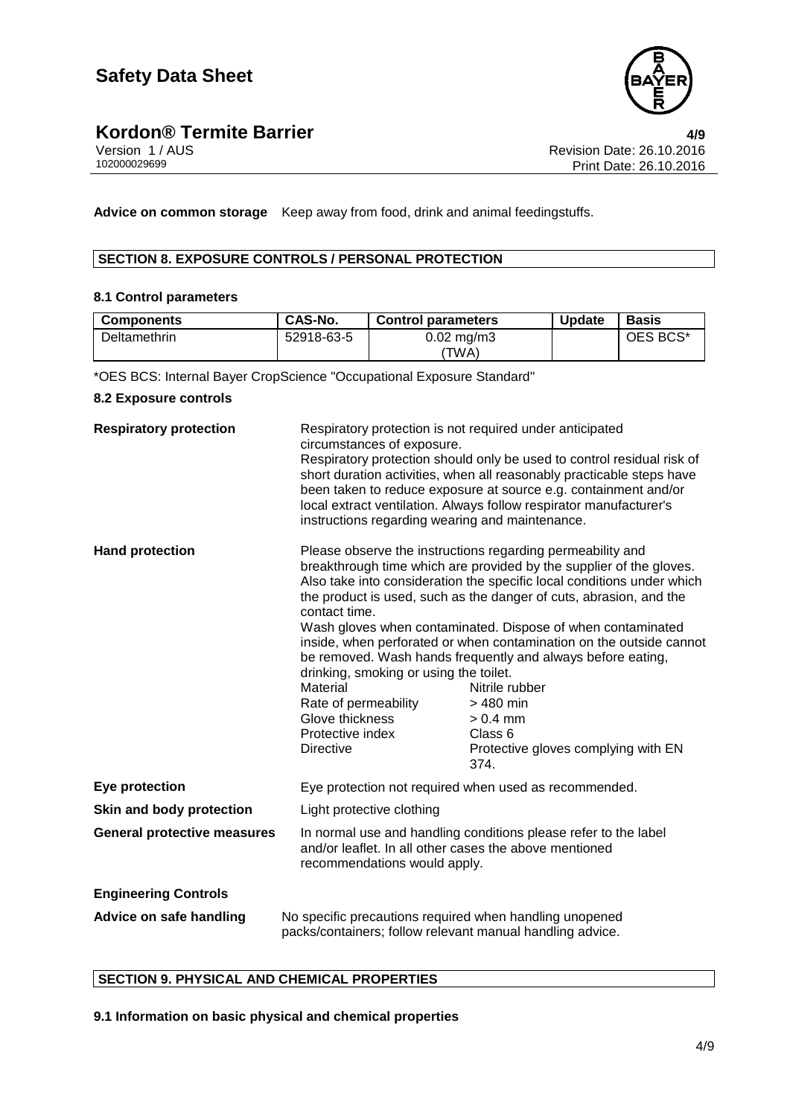

**Advice on common storage** Keep away from food, drink and animal feedingstuffs.

### **SECTION 8. EXPOSURE CONTROLS / PERSONAL PROTECTION**

### **8.1 Control parameters**

| <b>Components</b> | CAS-No.    | <b>Control parameters</b> | <b>Update</b> | Basis    |
|-------------------|------------|---------------------------|---------------|----------|
| Deltamethrin      | 52918-63-5 | $0.02 \text{ mg/m}$ 3     |               | OES BCS* |
|                   |            | 'TWA)                     |               |          |

\*OES BCS: Internal Bayer CropScience "Occupational Exposure Standard"

### **8.2 Exposure controls**

| <b>Respiratory protection</b>      | circumstances of exposure.                                                                                                                                | Respiratory protection is not required under anticipated<br>Respiratory protection should only be used to control residual risk of                                                                                                                                                                                                                                                                                                                                                                                                                                                            |  |
|------------------------------------|-----------------------------------------------------------------------------------------------------------------------------------------------------------|-----------------------------------------------------------------------------------------------------------------------------------------------------------------------------------------------------------------------------------------------------------------------------------------------------------------------------------------------------------------------------------------------------------------------------------------------------------------------------------------------------------------------------------------------------------------------------------------------|--|
|                                    | instructions regarding wearing and maintenance.                                                                                                           | short duration activities, when all reasonably practicable steps have<br>been taken to reduce exposure at source e.g. containment and/or<br>local extract ventilation. Always follow respirator manufacturer's                                                                                                                                                                                                                                                                                                                                                                                |  |
| <b>Hand protection</b>             | contact time.<br>drinking, smoking or using the toilet.<br>Material<br>Rate of permeability<br>Glove thickness<br>Protective index<br><b>Directive</b>    | Please observe the instructions regarding permeability and<br>breakthrough time which are provided by the supplier of the gloves.<br>Also take into consideration the specific local conditions under which<br>the product is used, such as the danger of cuts, abrasion, and the<br>Wash gloves when contaminated. Dispose of when contaminated<br>inside, when perforated or when contamination on the outside cannot<br>be removed. Wash hands frequently and always before eating,<br>Nitrile rubber<br>> 480 min<br>$> 0.4$ mm<br>Class 6<br>Protective gloves complying with EN<br>374. |  |
| Eye protection                     |                                                                                                                                                           | Eye protection not required when used as recommended.                                                                                                                                                                                                                                                                                                                                                                                                                                                                                                                                         |  |
| Skin and body protection           | Light protective clothing                                                                                                                                 |                                                                                                                                                                                                                                                                                                                                                                                                                                                                                                                                                                                               |  |
| <b>General protective measures</b> | In normal use and handling conditions please refer to the label<br>and/or leaflet. In all other cases the above mentioned<br>recommendations would apply. |                                                                                                                                                                                                                                                                                                                                                                                                                                                                                                                                                                                               |  |
| <b>Engineering Controls</b>        |                                                                                                                                                           |                                                                                                                                                                                                                                                                                                                                                                                                                                                                                                                                                                                               |  |
| Advice on safe handling            |                                                                                                                                                           | No specific precautions required when handling unopened<br>packs/containers; follow relevant manual handling advice.                                                                                                                                                                                                                                                                                                                                                                                                                                                                          |  |

### **SECTION 9. PHYSICAL AND CHEMICAL PROPERTIES**

**9.1 Information on basic physical and chemical properties**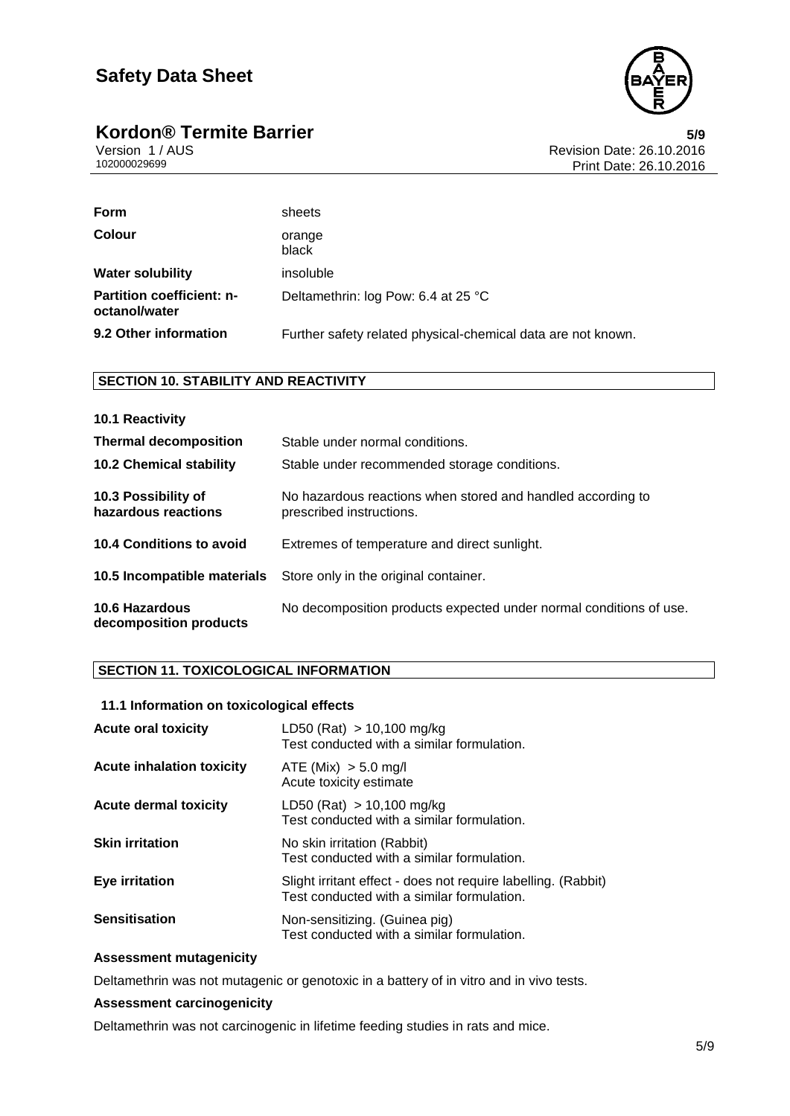

## **Kordon® Termite Barrier**<br>Version 1/AUS Version 1/AUS

Version 1 / AUS Revision Date: 26.10.2016 Print Date: 26.10.2016

| Form                                              | sheets                                                       |
|---------------------------------------------------|--------------------------------------------------------------|
| <b>Colour</b>                                     | orange<br>black                                              |
| <b>Water solubility</b>                           | insoluble                                                    |
| <b>Partition coefficient: n-</b><br>octanol/water | Deltamethrin: log Pow: 6.4 at 25 °C                          |
| 9.2 Other information                             | Further safety related physical-chemical data are not known. |

### **SECTION 10. STABILITY AND REACTIVITY**

| 10.1 Reactivity                            |                                                                                         |
|--------------------------------------------|-----------------------------------------------------------------------------------------|
| <b>Thermal decomposition</b>               | Stable under normal conditions.                                                         |
| <b>10.2 Chemical stability</b>             | Stable under recommended storage conditions.                                            |
| 10.3 Possibility of<br>hazardous reactions | No hazardous reactions when stored and handled according to<br>prescribed instructions. |
| 10.4 Conditions to avoid                   | Extremes of temperature and direct sunlight.                                            |
| 10.5 Incompatible materials                | Store only in the original container.                                                   |
| 10.6 Hazardous<br>decomposition products   | No decomposition products expected under normal conditions of use.                      |

### **SECTION 11. TOXICOLOGICAL INFORMATION**

| 11.1 Information on toxicological effects |                                                                                                             |
|-------------------------------------------|-------------------------------------------------------------------------------------------------------------|
| <b>Acute oral toxicity</b>                | LD50 (Rat) $> 10,100$ mg/kg<br>Test conducted with a similar formulation.                                   |
| <b>Acute inhalation toxicity</b>          | ATE (Mix) > 5.0 mg/l<br>Acute toxicity estimate                                                             |
| <b>Acute dermal toxicity</b>              | LD50 (Rat) $> 10,100$ mg/kg<br>Test conducted with a similar formulation.                                   |
| <b>Skin irritation</b>                    | No skin irritation (Rabbit)<br>Test conducted with a similar formulation.                                   |
| Eye irritation                            | Slight irritant effect - does not require labelling. (Rabbit)<br>Test conducted with a similar formulation. |
| <b>Sensitisation</b>                      | Non-sensitizing. (Guinea pig)<br>Test conducted with a similar formulation.                                 |

### **Assessment mutagenicity**

Deltamethrin was not mutagenic or genotoxic in a battery of in vitro and in vivo tests.

### **Assessment carcinogenicity**

Deltamethrin was not carcinogenic in lifetime feeding studies in rats and mice.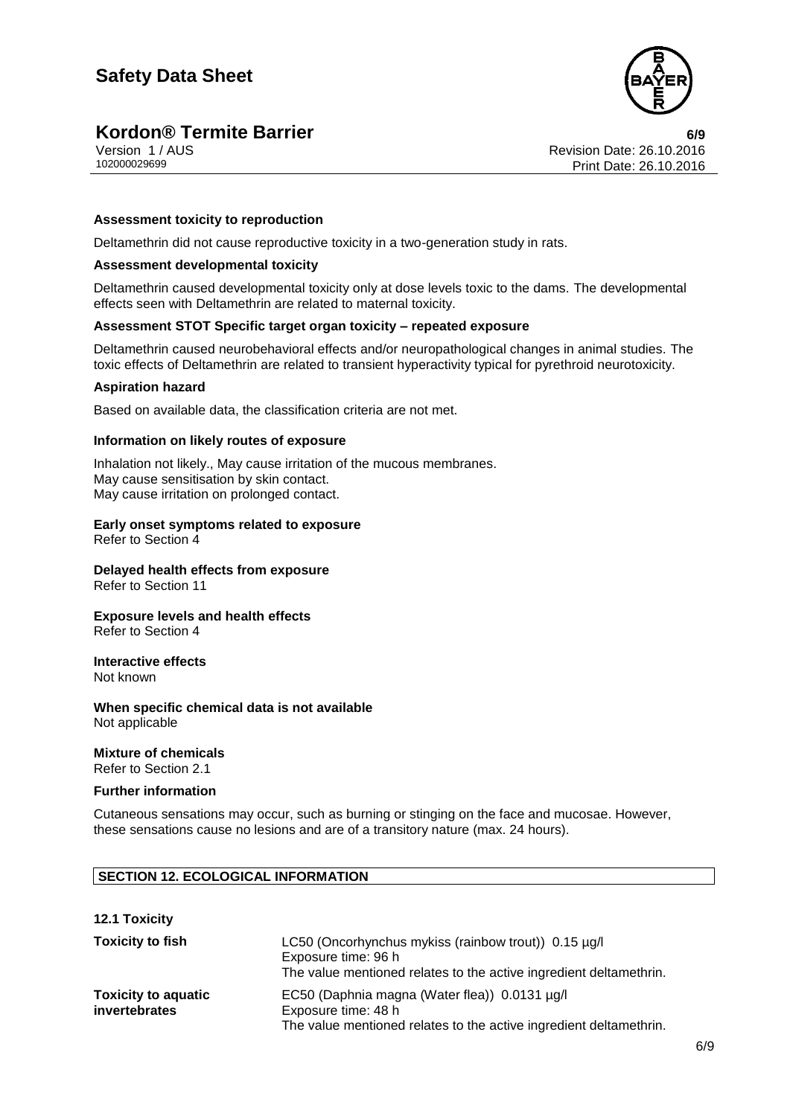

## **Kordon® Termite Barrier**<br>Version 1/AUS **6/9**<br>Revision Date: 26.10.2016

Version 1 / AUS Revision Date: 26.10.2016 Print Date: 26.10.2016

### **Assessment toxicity to reproduction**

Deltamethrin did not cause reproductive toxicity in a two-generation study in rats.

### **Assessment developmental toxicity**

Deltamethrin caused developmental toxicity only at dose levels toxic to the dams. The developmental effects seen with Deltamethrin are related to maternal toxicity.

### **Assessment STOT Specific target organ toxicity – repeated exposure**

Deltamethrin caused neurobehavioral effects and/or neuropathological changes in animal studies. The toxic effects of Deltamethrin are related to transient hyperactivity typical for pyrethroid neurotoxicity.

#### **Aspiration hazard**

Based on available data, the classification criteria are not met.

### **Information on likely routes of exposure**

Inhalation not likely., May cause irritation of the mucous membranes. May cause sensitisation by skin contact. May cause irritation on prolonged contact.

#### **Early onset symptoms related to exposure**

Refer to Section 4

### **Delayed health effects from exposure**

Refer to Section 11

### **Exposure levels and health effects**

Refer to Section 4

### **Interactive effects**

Not known

#### **When specific chemical data is not available** Not applicable

**Mixture of chemicals**

Refer to Section 2.1

### **Further information**

Cutaneous sensations may occur, such as burning or stinging on the face and mucosae. However, these sensations cause no lesions and are of a transitory nature (max. 24 hours).

### **SECTION 12. ECOLOGICAL INFORMATION**

### **12.1 Toxicity**

| <b>Toxicity to fish</b>                     | LC50 (Oncorhynchus mykiss (rainbow trout)) 0.15 µg/l<br>Exposure time: 96 h<br>The value mentioned relates to the active ingredient deltamethrin. |
|---------------------------------------------|---------------------------------------------------------------------------------------------------------------------------------------------------|
| <b>Toxicity to aquatic</b><br>invertebrates | EC50 (Daphnia magna (Water flea)) 0.0131 µg/l<br>Exposure time: 48 h<br>The value mentioned relates to the active ingredient deltamethrin.        |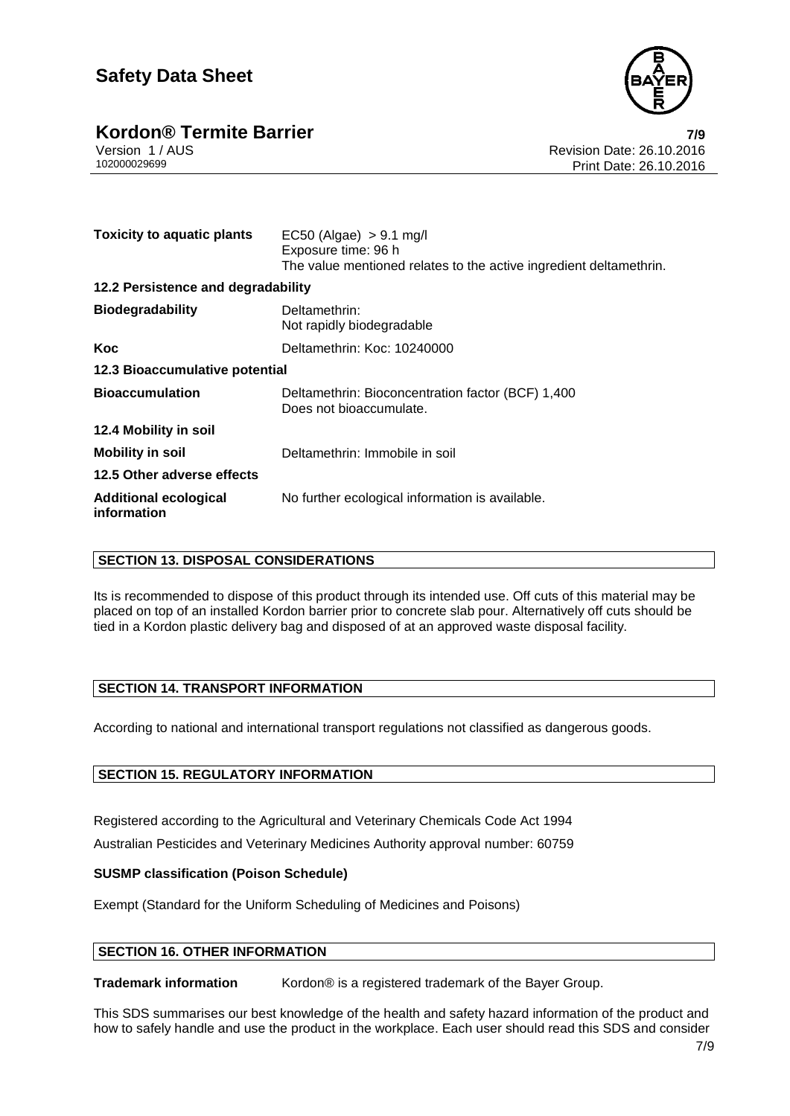

## **Kordon® Termite Barrier 7/9**

Version 1 / AUS Revision Date: 26.10.2016 Print Date: 26.10.2016

| <b>Toxicity to aquatic plants</b>           | $EC50$ (Algae) $> 9.1$ mg/l<br>Exposure time: 96 h<br>The value mentioned relates to the active ingredient deltamethrin. |
|---------------------------------------------|--------------------------------------------------------------------------------------------------------------------------|
| 12.2 Persistence and degradability          |                                                                                                                          |
| <b>Biodegradability</b>                     | Deltamethrin:<br>Not rapidly biodegradable                                                                               |
| Koc                                         | Deltamethrin: Koc: 10240000                                                                                              |
| 12.3 Bioaccumulative potential              |                                                                                                                          |
| <b>Bioaccumulation</b>                      | Deltamethrin: Bioconcentration factor (BCF) 1,400<br>Does not bioaccumulate.                                             |
| 12.4 Mobility in soil                       |                                                                                                                          |
| <b>Mobility in soil</b>                     | Deltamethrin: Immobile in soil                                                                                           |
| 12.5 Other adverse effects                  |                                                                                                                          |
| <b>Additional ecological</b><br>information | No further ecological information is available.                                                                          |

### **SECTION 13. DISPOSAL CONSIDERATIONS**

Its is recommended to dispose of this product through its intended use. Off cuts of this material may be placed on top of an installed Kordon barrier prior to concrete slab pour. Alternatively off cuts should be tied in a Kordon plastic delivery bag and disposed of at an approved waste disposal facility.

### **SECTION 14. TRANSPORT INFORMATION**

According to national and international transport regulations not classified as dangerous goods.

### **SECTION 15. REGULATORY INFORMATION**

Registered according to the Agricultural and Veterinary Chemicals Code Act 1994 Australian Pesticides and Veterinary Medicines Authority approval number: 60759

### **SUSMP classification (Poison Schedule)**

Exempt (Standard for the Uniform Scheduling of Medicines and Poisons)

### **SECTION 16. OTHER INFORMATION**

**Trademark information** Kordon<sup>®</sup> is a registered trademark of the Bayer Group.

This SDS summarises our best knowledge of the health and safety hazard information of the product and how to safely handle and use the product in the workplace. Each user should read this SDS and consider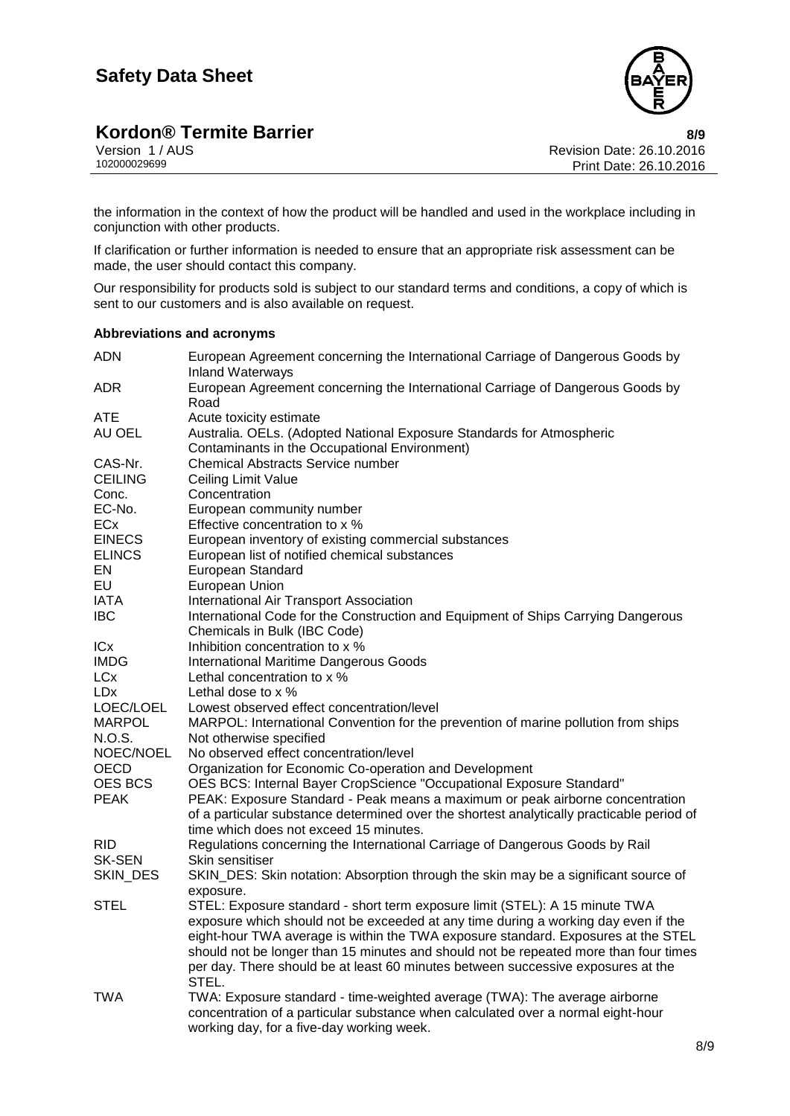

Version 1 / AUS Revision Date: 26.10.2016 Print Date: 26.10.2016

the information in the context of how the product will be handled and used in the workplace including in conjunction with other products.

If clarification or further information is needed to ensure that an appropriate risk assessment can be made, the user should contact this company.

Our responsibility for products sold is subject to our standard terms and conditions, a copy of which is sent to our customers and is also available on request.

### **Abbreviations and acronyms**

| <b>ADN</b>            | European Agreement concerning the International Carriage of Dangerous Goods by<br><b>Inland Waterways</b> |
|-----------------------|-----------------------------------------------------------------------------------------------------------|
| <b>ADR</b>            | European Agreement concerning the International Carriage of Dangerous Goods by                            |
| <b>ATE</b>            | Road<br>Acute toxicity estimate                                                                           |
| AU OEL                | Australia. OELs. (Adopted National Exposure Standards for Atmospheric                                     |
|                       | Contaminants in the Occupational Environment)                                                             |
| CAS-Nr.               | <b>Chemical Abstracts Service number</b>                                                                  |
| <b>CEILING</b>        | Ceiling Limit Value                                                                                       |
| Conc.                 | Concentration                                                                                             |
| EC-No.                | European community number                                                                                 |
| ECx                   | Effective concentration to x %                                                                            |
| <b>EINECS</b>         |                                                                                                           |
|                       | European inventory of existing commercial substances                                                      |
| <b>ELINCS</b><br>EN   | European list of notified chemical substances                                                             |
| EU                    | European Standard                                                                                         |
|                       | European Union                                                                                            |
| <b>IATA</b>           | International Air Transport Association                                                                   |
| IBC.                  | International Code for the Construction and Equipment of Ships Carrying Dangerous                         |
|                       | Chemicals in Bulk (IBC Code)                                                                              |
| ICx                   | Inhibition concentration to x %                                                                           |
| <b>IMDG</b>           | <b>International Maritime Dangerous Goods</b>                                                             |
| LCx                   | Lethal concentration to x %                                                                               |
| LD <sub>X</sub>       | Lethal dose to $\times$ %                                                                                 |
| LOEC/LOEL             | Lowest observed effect concentration/level                                                                |
| MARPOL                | MARPOL: International Convention for the prevention of marine pollution from ships                        |
| N.O.S.                | Not otherwise specified<br>No observed effect concentration/level                                         |
| NOEC/NOEL             |                                                                                                           |
| OECD                  | Organization for Economic Co-operation and Development                                                    |
| <b>OES BCS</b>        | OES BCS: Internal Bayer CropScience "Occupational Exposure Standard"                                      |
| <b>PEAK</b>           | PEAK: Exposure Standard - Peak means a maximum or peak airborne concentration                             |
|                       | of a particular substance determined over the shortest analytically practicable period of                 |
|                       | time which does not exceed 15 minutes.                                                                    |
| RID.<br><b>SK-SEN</b> | Regulations concerning the International Carriage of Dangerous Goods by Rail                              |
|                       | Skin sensitiser                                                                                           |
| SKIN_DES              | SKIN_DES: Skin notation: Absorption through the skin may be a significant source of                       |
| <b>STEL</b>           | exposure.<br>STEL: Exposure standard - short term exposure limit (STEL): A 15 minute TWA                  |
|                       | exposure which should not be exceeded at any time during a working day even if the                        |
|                       | eight-hour TWA average is within the TWA exposure standard. Exposures at the STEL                         |
|                       | should not be longer than 15 minutes and should not be repeated more than four times                      |
|                       |                                                                                                           |
|                       | per day. There should be at least 60 minutes between successive exposures at the<br>STEL.                 |
| TWA                   | TWA: Exposure standard - time-weighted average (TWA): The average airborne                                |
|                       | concentration of a particular substance when calculated over a normal eight-hour                          |
|                       | working day, for a five-day working week.                                                                 |
|                       |                                                                                                           |